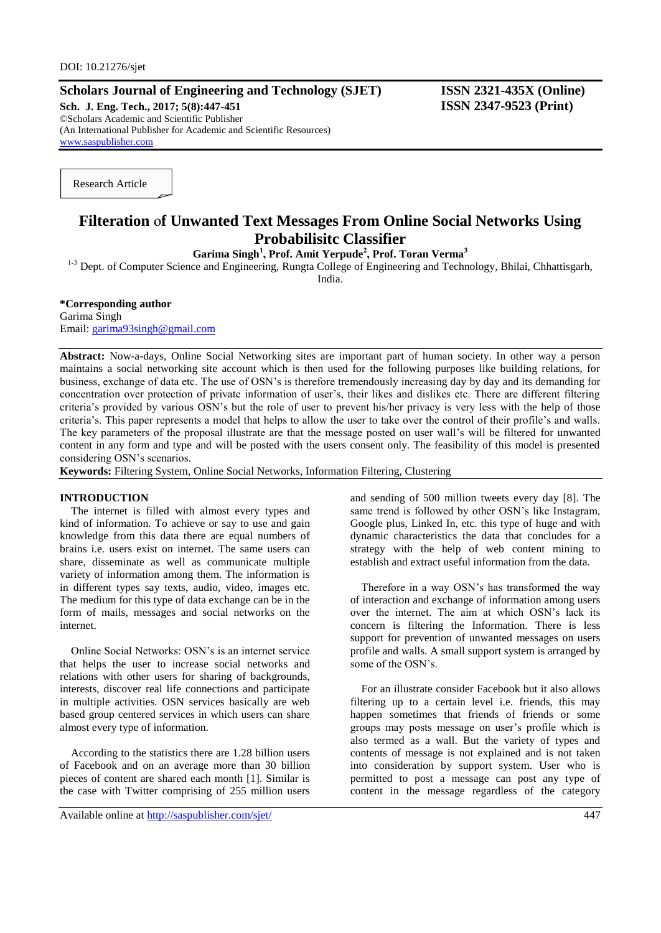# **Scholars Journal of Engineering and Technology (SJET) ISSN 2321-435X (Online)**

**Sch. J. Eng. Tech., 2017; 5(8):447-451 ISSN 2347-9523 (Print)** ©Scholars Academic and Scientific Publisher (An International Publisher for Academic and Scientific Resources) [www.saspublisher.com](http://www.saspublisher.com/)

Research Article

# **Filteration** o**f Unwanted Text Messages From Online Social Networks Using Probabilisitc Classifier**

**Garima Singh<sup>1</sup> , Prof. Amit Yerpude<sup>2</sup> , Prof. Toran Verma<sup>3</sup>**

<sup>1-3</sup> Dept. of Computer Science and Engineering, Rungta College of Engineering and Technology, Bhilai, Chhattisgarh,

India.

## **\*Corresponding author**

Garima Singh Email: [garima93singh@gmail.com](mailto:garima93singh@gmail.com)

**Abstract:** Now-a-days, Online Social Networking sites are important part of human society. In other way a person maintains a social networking site account which is then used for the following purposes like building relations, for business, exchange of data etc. The use of OSN's is therefore tremendously increasing day by day and its demanding for concentration over protection of private information of user's, their likes and dislikes etc. There are different filtering criteria's provided by various OSN's but the role of user to prevent his/her privacy is very less with the help of those criteria's. This paper represents a model that helps to allow the user to take over the control of their profile's and walls. The key parameters of the proposal illustrate are that the message posted on user wall's will be filtered for unwanted content in any form and type and will be posted with the users consent only. The feasibility of this model is presented considering OSN's scenarios.

**Keywords:** Filtering System, Online Social Networks, Information Filtering, Clustering

#### **INTRODUCTION**

The internet is filled with almost every types and kind of information. To achieve or say to use and gain knowledge from this data there are equal numbers of brains i.e. users exist on internet. The same users can share, disseminate as well as communicate multiple variety of information among them. The information is in different types say texts, audio, video, images etc. The medium for this type of data exchange can be in the form of mails, messages and social networks on the internet.

Online Social Networks: OSN's is an internet service that helps the user to increase social networks and relations with other users for sharing of backgrounds, interests, discover real life connections and participate in multiple activities. OSN services basically are web based group centered services in which users can share almost every type of information.

According to the statistics there are 1.28 billion users of Facebook and on an average more than 30 billion pieces of content are shared each month [1]. Similar is the case with Twitter comprising of 255 million users

Available online at<http://saspublisher.com/sjet/> 447

and sending of 500 million tweets every day [8]. The same trend is followed by other OSN's like Instagram, Google plus, Linked In, etc. this type of huge and with dynamic characteristics the data that concludes for a strategy with the help of web content mining to establish and extract useful information from the data.

Therefore in a way OSN's has transformed the way of interaction and exchange of information among users over the internet. The aim at which OSN's lack its concern is filtering the Information. There is less support for prevention of unwanted messages on users profile and walls. A small support system is arranged by some of the OSN's.

For an illustrate consider Facebook but it also allows filtering up to a certain level i.e. friends, this may happen sometimes that friends of friends or some groups may posts message on user's profile which is also termed as a wall. But the variety of types and contents of message is not explained and is not taken into consideration by support system. User who is permitted to post a message can post any type of content in the message regardless of the category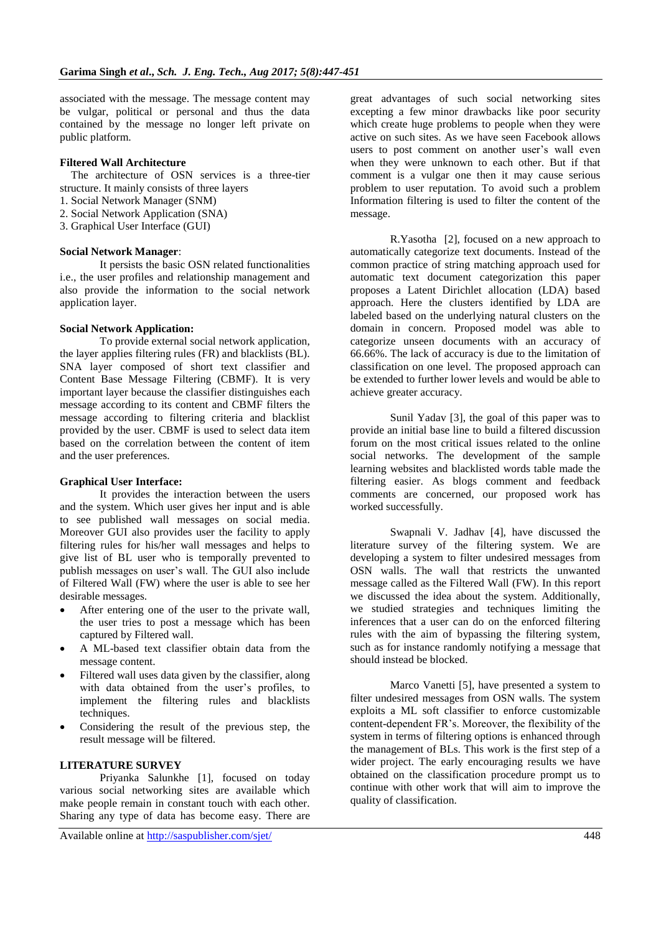associated with the message. The message content may be vulgar, political or personal and thus the data contained by the message no longer left private on public platform.

## **Filtered Wall Architecture**

The architecture of OSN services is a three-tier structure. It mainly consists of three layers

- 1. Social Network Manager (SNM)
- 2. Social Network Application (SNA)
- 3. Graphical User Interface (GUI)

#### **Social Network Manager**:

It persists the basic OSN related functionalities i.e., the user profiles and relationship management and also provide the information to the social network application layer.

#### **Social Network Application:**

To provide external social network application, the layer applies filtering rules (FR) and blacklists (BL). SNA layer composed of short text classifier and Content Base Message Filtering (CBMF). It is very important layer because the classifier distinguishes each message according to its content and CBMF filters the message according to filtering criteria and blacklist provided by the user. CBMF is used to select data item based on the correlation between the content of item and the user preferences.

#### **Graphical User Interface:**

It provides the interaction between the users and the system. Which user gives her input and is able to see published wall messages on social media. Moreover GUI also provides user the facility to apply filtering rules for his/her wall messages and helps to give list of BL user who is temporally prevented to publish messages on user's wall. The GUI also include of Filtered Wall (FW) where the user is able to see her desirable messages.

- After entering one of the user to the private wall, the user tries to post a message which has been captured by Filtered wall.
- A ML-based text classifier obtain data from the message content.
- Filtered wall uses data given by the classifier, along with data obtained from the user's profiles, to implement the filtering rules and blacklists techniques.
- Considering the result of the previous step, the result message will be filtered.

## **LITERATURE SURVEY**

Priyanka Salunkhe [1], focused on today various social networking sites are available which make people remain in constant touch with each other. Sharing any type of data has become easy. There are

Available online at<http://saspublisher.com/sjet/> 448

great advantages of such social networking sites excepting a few minor drawbacks like poor security which create huge problems to people when they were active on such sites. As we have seen Facebook allows users to post comment on another user's wall even when they were unknown to each other. But if that comment is a vulgar one then it may cause serious problem to user reputation. To avoid such a problem Information filtering is used to filter the content of the message.

R.Yasotha [2], focused on a new approach to automatically categorize text documents. Instead of the common practice of string matching approach used for automatic text document categorization this paper proposes a Latent Dirichlet allocation (LDA) based approach. Here the clusters identified by LDA are labeled based on the underlying natural clusters on the domain in concern. Proposed model was able to categorize unseen documents with an accuracy of 66.66%. The lack of accuracy is due to the limitation of classification on one level. The proposed approach can be extended to further lower levels and would be able to achieve greater accuracy.

Sunil Yadav [3], the goal of this paper was to provide an initial base line to build a filtered discussion forum on the most critical issues related to the online social networks. The development of the sample learning websites and blacklisted words table made the filtering easier. As blogs comment and feedback comments are concerned, our proposed work has worked successfully.

Swapnali V. Jadhav [4], have discussed the literature survey of the filtering system. We are developing a system to filter undesired messages from OSN walls. The wall that restricts the unwanted message called as the Filtered Wall (FW). In this report we discussed the idea about the system. Additionally, we studied strategies and techniques limiting the inferences that a user can do on the enforced filtering rules with the aim of bypassing the filtering system, such as for instance randomly notifying a message that should instead be blocked.

Marco Vanetti [5], have presented a system to filter undesired messages from OSN walls. The system exploits a ML soft classifier to enforce customizable content-dependent FR's. Moreover, the flexibility of the system in terms of filtering options is enhanced through the management of BLs. This work is the first step of a wider project. The early encouraging results we have obtained on the classification procedure prompt us to continue with other work that will aim to improve the quality of classification.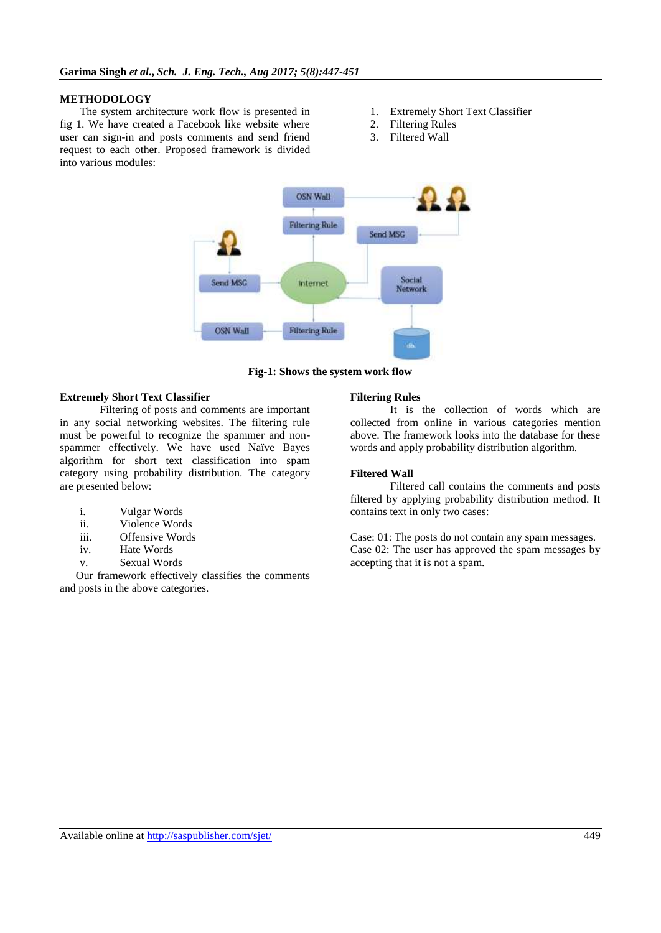#### **METHODOLOGY**

The system architecture work flow is presented in fig 1. We have created a Facebook like website where user can sign-in and posts comments and send friend request to each other. Proposed framework is divided into various modules:

- 1. Extremely Short Text Classifier
- 2. Filtering Rules
- 3. Filtered Wall



**Fig***-***1: Shows the system work flow**

#### **Extremely Short Text Classifier**

Filtering of posts and comments are important in any social networking websites. The filtering rule must be powerful to recognize the spammer and nonspammer effectively. We have used Naïve Bayes algorithm for short text classification into spam category using probability distribution. The category are presented below:

- i. Vulgar Words
- ii. Violence Words
- iii. Offensive Words
- iv. Hate Words
- v. Sexual Words

Our framework effectively classifies the comments and posts in the above categories.

#### **Filtering Rules**

It is the collection of words which are collected from online in various categories mention above. The framework looks into the database for these words and apply probability distribution algorithm.

#### **Filtered Wall**

Filtered call contains the comments and posts filtered by applying probability distribution method. It contains text in only two cases:

Case: 01: The posts do not contain any spam messages. Case 02: The user has approved the spam messages by accepting that it is not a spam.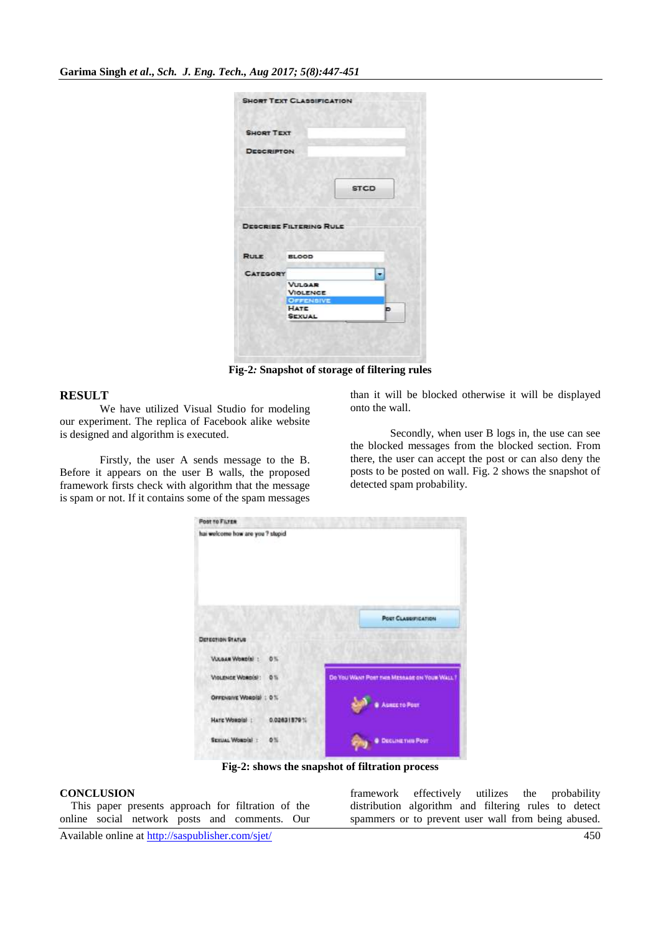| <b>SHORT TEXT</b> |                                |             |
|-------------------|--------------------------------|-------------|
|                   |                                |             |
| <b>DESCRIPTON</b> |                                |             |
|                   |                                |             |
|                   |                                |             |
|                   |                                | <b>STCD</b> |
|                   |                                |             |
|                   |                                |             |
|                   |                                |             |
|                   |                                |             |
|                   |                                |             |
|                   | <b>DESCRIBE FILTERING RULE</b> |             |
|                   |                                |             |
| <b>RULE</b>       | <b>BLOOD</b>                   |             |
|                   |                                |             |
| <b>CATEGORY</b>   |                                |             |
|                   | <b>VULGAR</b>                  |             |
|                   | <b>VIOLENCE</b>                |             |
|                   | <b>OFFENBIVE</b>               |             |
|                   | HATE<br><b>SEXUAL</b>          | ь           |

**Fig***-***2***:* **Snapshot of storage of filtering rules**

# **RESULT**

We have utilized Visual Studio for modeling our experiment. The replica of Facebook alike website is designed and algorithm is executed.

Firstly, the user A sends message to the B. Before it appears on the user B walls, the proposed framework firsts check with algorithm that the message is spam or not. If it contains some of the spam messages

than it will be blocked otherwise it will be displayed onto the wall.

Secondly, when user B logs in, the use can see the blocked messages from the blocked section. From there, the user can accept the post or can also deny the posts to be posted on wall. Fig. 2 shows the snapshot of detected spam probability.

| <b>Post TO FILTER</b>            |                |                                             |
|----------------------------------|----------------|---------------------------------------------|
| hai welcome how are you ? stupid |                |                                             |
| DETECTION STATUS                 |                | <b>POST CLASSIFICATION</b>                  |
| VULGAN WORDIN !                  | 0%             |                                             |
| Violativita Wombish:             | 0.51           | De You Want Post ties Missage on Your Wall. |
| OFFENSIVE WORD(S) : 0%           |                | Asset to Post                               |
| HATE WORD(0)                     | 0.02631579%    |                                             |
| SEXUAL WORDIN 1                  | O <sup>N</sup> | <b>CECLINETHIS POST</b>                     |

**Fig***-***2: shows the snapshot of filtration process**

## **CONCLUSION**

This paper presents approach for filtration of the online social network posts and comments. Our framework effectively utilizes the probability distribution algorithm and filtering rules to detect spammers or to prevent user wall from being abused.